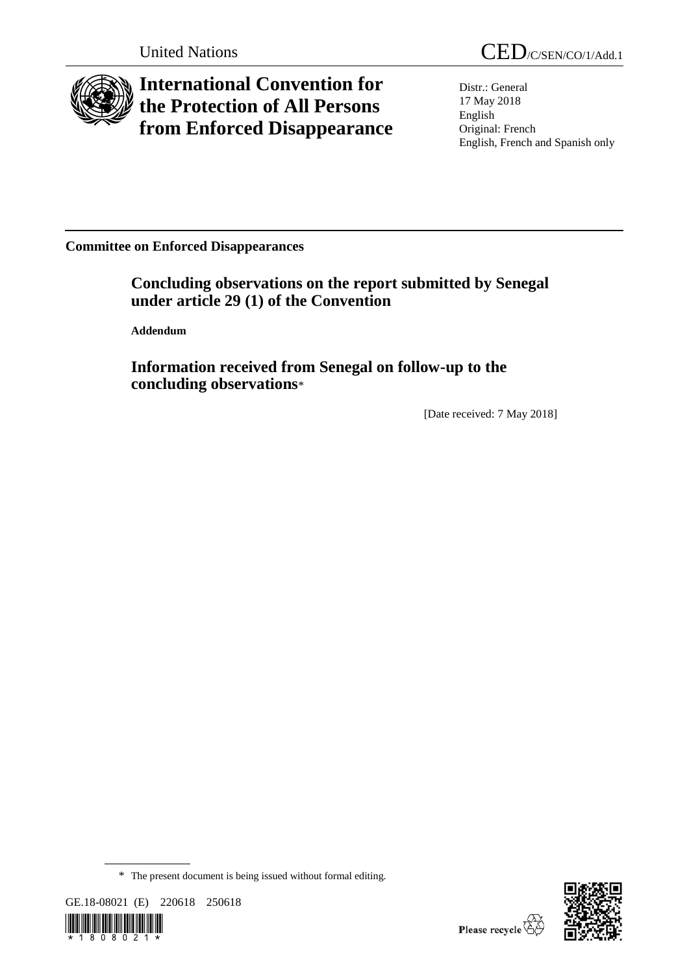

## **International Convention for the Protection of All Persons from Enforced Disappearance**

Distr.: General 17 May 2018 English Original: French English, French and Spanish only

**Committee on Enforced Disappearances**

**Concluding observations on the report submitted by Senegal under article 29 (1) of the Convention**

**Addendum**

**Information received from Senegal on follow-up to the concluding observations**\*

[Date received: 7 May 2018]

<sup>\*</sup> The present document is being issued without formal editing.





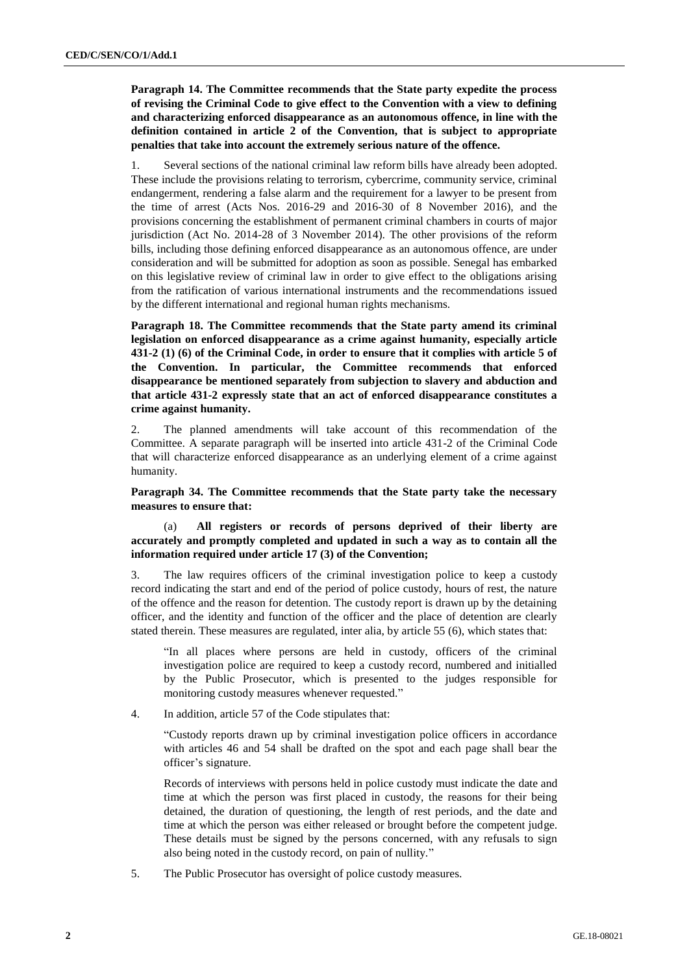**Paragraph 14. The Committee recommends that the State party expedite the process of revising the Criminal Code to give effect to the Convention with a view to defining and characterizing enforced disappearance as an autonomous offence, in line with the definition contained in article 2 of the Convention, that is subject to appropriate penalties that take into account the extremely serious nature of the offence.**

1. Several sections of the national criminal law reform bills have already been adopted. These include the provisions relating to terrorism, cybercrime, community service, criminal endangerment, rendering a false alarm and the requirement for a lawyer to be present from the time of arrest (Acts Nos. 2016-29 and 2016-30 of 8 November 2016), and the provisions concerning the establishment of permanent criminal chambers in courts of major jurisdiction (Act No. 2014-28 of 3 November 2014). The other provisions of the reform bills, including those defining enforced disappearance as an autonomous offence, are under consideration and will be submitted for adoption as soon as possible. Senegal has embarked on this legislative review of criminal law in order to give effect to the obligations arising from the ratification of various international instruments and the recommendations issued by the different international and regional human rights mechanisms.

**Paragraph 18. The Committee recommends that the State party amend its criminal legislation on enforced disappearance as a crime against humanity, especially article 431-2 (1) (6) of the Criminal Code, in order to ensure that it complies with article 5 of the Convention. In particular, the Committee recommends that enforced disappearance be mentioned separately from subjection to slavery and abduction and that article 431-2 expressly state that an act of enforced disappearance constitutes a crime against humanity.**

2. The planned amendments will take account of this recommendation of the Committee. A separate paragraph will be inserted into article 431-2 of the Criminal Code that will characterize enforced disappearance as an underlying element of a crime against humanity.

**Paragraph 34. The Committee recommends that the State party take the necessary measures to ensure that:**

(a) **All registers or records of persons deprived of their liberty are accurately and promptly completed and updated in such a way as to contain all the information required under article 17 (3) of the Convention;** 

3. The law requires officers of the criminal investigation police to keep a custody record indicating the start and end of the period of police custody, hours of rest, the nature of the offence and the reason for detention. The custody report is drawn up by the detaining officer, and the identity and function of the officer and the place of detention are clearly stated therein. These measures are regulated, inter alia, by article 55 (6), which states that:

"In all places where persons are held in custody, officers of the criminal investigation police are required to keep a custody record, numbered and initialled by the Public Prosecutor, which is presented to the judges responsible for monitoring custody measures whenever requested."

4. In addition, article 57 of the Code stipulates that:

"Custody reports drawn up by criminal investigation police officers in accordance with articles 46 and 54 shall be drafted on the spot and each page shall bear the officer's signature.

Records of interviews with persons held in police custody must indicate the date and time at which the person was first placed in custody, the reasons for their being detained, the duration of questioning, the length of rest periods, and the date and time at which the person was either released or brought before the competent judge. These details must be signed by the persons concerned, with any refusals to sign also being noted in the custody record, on pain of nullity."

5. The Public Prosecutor has oversight of police custody measures.